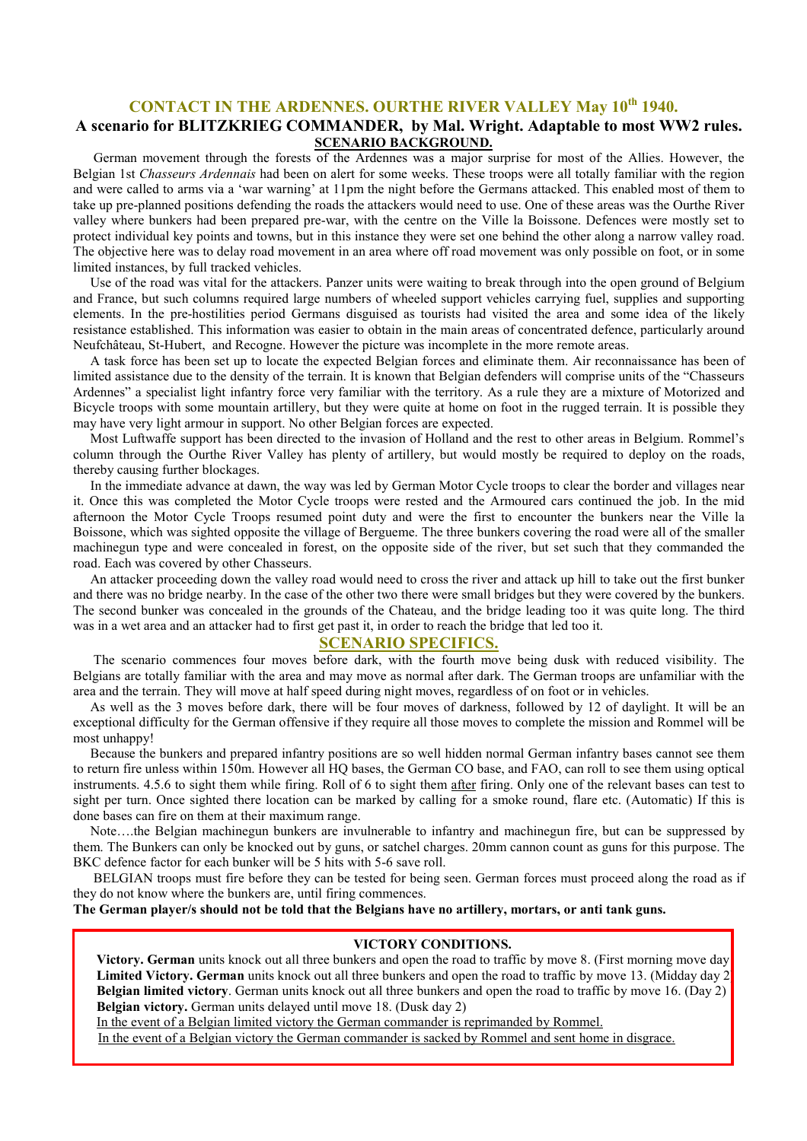# CONTACT IN THE ARDENNES. OURTHE RIVER VALLEY May 10<sup>th</sup> 1940.

## A scenario for BLITZKRIEG COMMANDER, by Mal. Wright. Adaptable to most WW2 rules. SCENARIO BACKGROUND.

 German movement through the forests of the Ardennes was a major surprise for most of the Allies. However, the Belgian 1st Chasseurs Ardennais had been on alert for some weeks. These troops were all totally familiar with the region and were called to arms via a 'war warning' at 11pm the night before the Germans attacked. This enabled most of them to take up pre-planned positions defending the roads the attackers would need to use. One of these areas was the Ourthe River valley where bunkers had been prepared pre-war, with the centre on the Ville la Boissone. Defences were mostly set to protect individual key points and towns, but in this instance they were set one behind the other along a narrow valley road. The objective here was to delay road movement in an area where off road movement was only possible on foot, or in some limited instances, by full tracked vehicles.

 Use of the road was vital for the attackers. Panzer units were waiting to break through into the open ground of Belgium and France, but such columns required large numbers of wheeled support vehicles carrying fuel, supplies and supporting elements. In the pre-hostilities period Germans disguised as tourists had visited the area and some idea of the likely resistance established. This information was easier to obtain in the main areas of concentrated defence, particularly around Neufchâteau, St-Hubert, and Recogne. However the picture was incomplete in the more remote areas.

 A task force has been set up to locate the expected Belgian forces and eliminate them. Air reconnaissance has been of limited assistance due to the density of the terrain. It is known that Belgian defenders will comprise units of the "Chasseurs Ardennes" a specialist light infantry force very familiar with the territory. As a rule they are a mixture of Motorized and Bicycle troops with some mountain artillery, but they were quite at home on foot in the rugged terrain. It is possible they may have very light armour in support. No other Belgian forces are expected.

 Most Luftwaffe support has been directed to the invasion of Holland and the rest to other areas in Belgium. Rommel's column through the Ourthe River Valley has plenty of artillery, but would mostly be required to deploy on the roads, thereby causing further blockages.

 In the immediate advance at dawn, the way was led by German Motor Cycle troops to clear the border and villages near it. Once this was completed the Motor Cycle troops were rested and the Armoured cars continued the job. In the mid afternoon the Motor Cycle Troops resumed point duty and were the first to encounter the bunkers near the Ville la Boissone, which was sighted opposite the village of Bergueme. The three bunkers covering the road were all of the smaller machinegun type and were concealed in forest, on the opposite side of the river, but set such that they commanded the road. Each was covered by other Chasseurs.

 An attacker proceeding down the valley road would need to cross the river and attack up hill to take out the first bunker and there was no bridge nearby. In the case of the other two there were small bridges but they were covered by the bunkers. The second bunker was concealed in the grounds of the Chateau, and the bridge leading too it was quite long. The third was in a wet area and an attacker had to first get past it, in order to reach the bridge that led too it.

#### SCENARIO SPECIFICS.

 The scenario commences four moves before dark, with the fourth move being dusk with reduced visibility. The Belgians are totally familiar with the area and may move as normal after dark. The German troops are unfamiliar with the area and the terrain. They will move at half speed during night moves, regardless of on foot or in vehicles.

 As well as the 3 moves before dark, there will be four moves of darkness, followed by 12 of daylight. It will be an exceptional difficulty for the German offensive if they require all those moves to complete the mission and Rommel will be most unhappy!

 Because the bunkers and prepared infantry positions are so well hidden normal German infantry bases cannot see them to return fire unless within 150m. However all HQ bases, the German CO base, and FAO, can roll to see them using optical instruments. 4.5.6 to sight them while firing. Roll of 6 to sight them after firing. Only one of the relevant bases can test to sight per turn. Once sighted there location can be marked by calling for a smoke round, flare etc. (Automatic) If this is done bases can fire on them at their maximum range.

 Note….the Belgian machinegun bunkers are invulnerable to infantry and machinegun fire, but can be suppressed by them. The Bunkers can only be knocked out by guns, or satchel charges. 20mm cannon count as guns for this purpose. The BKC defence factor for each bunker will be 5 hits with 5-6 save roll.

 BELGIAN troops must fire before they can be tested for being seen. German forces must proceed along the road as if they do not know where the bunkers are, until firing commences.

#### The German player/s should not be told that the Belgians have no artillery, mortars, or anti tank guns.

#### VICTORY CONDITIONS.

Victory. German units knock out all three bunkers and open the road to traffic by move 8. (First morning move day Limited Victory. German units knock out all three bunkers and open the road to traffic by move 13. (Midday day 2) Belgian limited victory. German units knock out all three bunkers and open the road to traffic by move 16. (Day 2) Belgian victory. German units delayed until move 18. (Dusk day 2)

In the event of a Belgian limited victory the German commander is reprimanded by Rommel.

In the event of a Belgian victory the German commander is sacked by Rommel and sent home in disgrace.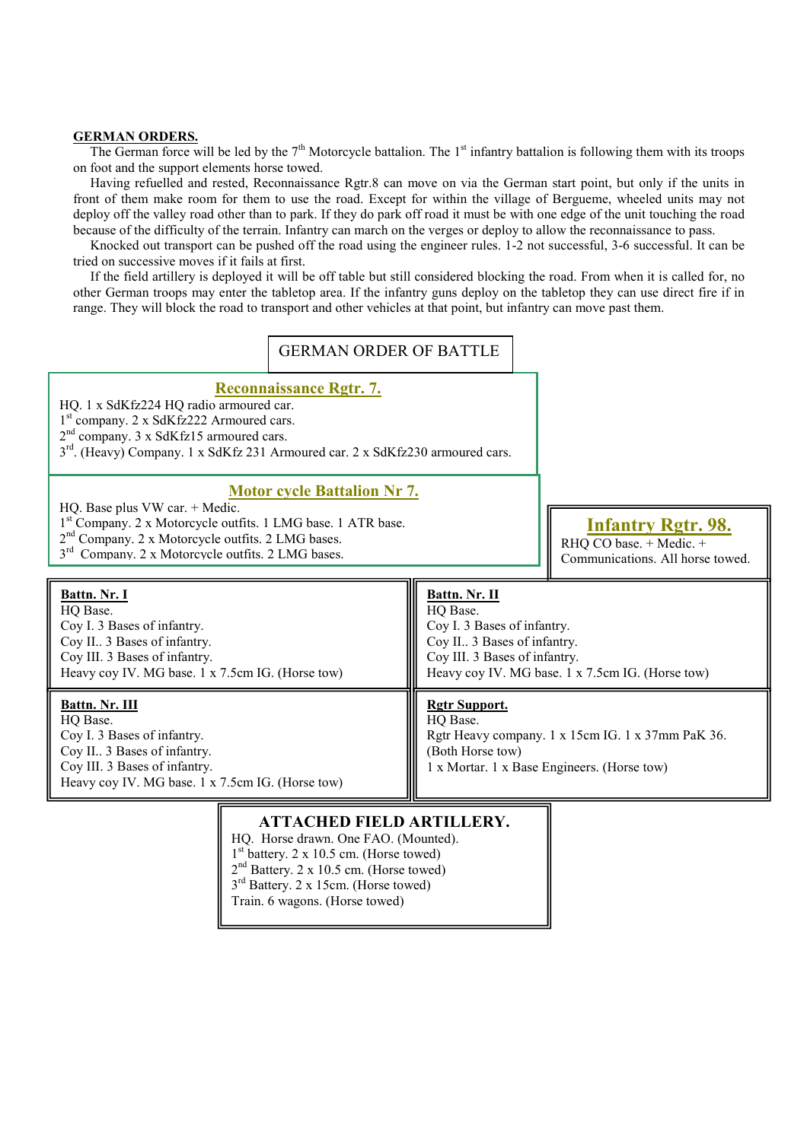#### GERMAN ORDERS.

The German force will be led by the  $7<sup>th</sup>$  Motorcycle battalion. The  $1<sup>st</sup>$  infantry battalion is following them with its troops on foot and the support elements horse towed.

 Having refuelled and rested, Reconnaissance Rgtr.8 can move on via the German start point, but only if the units in front of them make room for them to use the road. Except for within the village of Bergueme, wheeled units may not deploy off the valley road other than to park. If they do park off road it must be with one edge of the unit touching the road because of the difficulty of the terrain. Infantry can march on the verges or deploy to allow the reconnaissance to pass.

 Knocked out transport can be pushed off the road using the engineer rules. 1-2 not successful, 3-6 successful. It can be tried on successive moves if it fails at first.

 If the field artillery is deployed it will be off table but still considered blocking the road. From when it is called for, no other German troops may enter the tabletop area. If the infantry guns deploy on the tabletop they can use direct fire if in range. They will block the road to transport and other vehicles at that point, but infantry can move past them.



HQ. Horse drawn. One FAO. (Mounted). 1 st battery. 2 x 10.5 cm. (Horse towed)  $2<sup>nd</sup>$  Battery. 2 x 10.5 cm. (Horse towed) 3<sup>rd</sup> Battery. 2 x 15cm. (Horse towed) Train. 6 wagons. (Horse towed)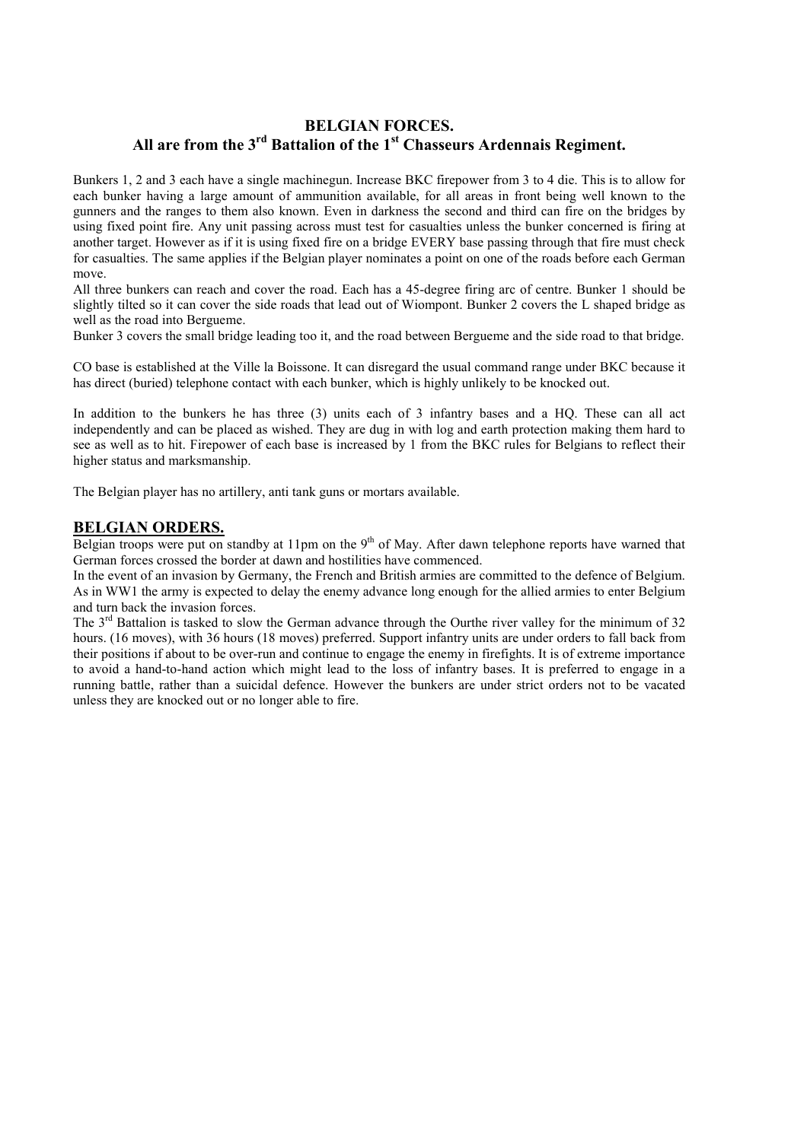# BELGIAN FORCES. All are from the  $3<sup>rd</sup>$  Battalion of the  $1<sup>st</sup>$  Chasseurs Ardennais Regiment.

Bunkers 1, 2 and 3 each have a single machinegun. Increase BKC firepower from 3 to 4 die. This is to allow for each bunker having a large amount of ammunition available, for all areas in front being well known to the gunners and the ranges to them also known. Even in darkness the second and third can fire on the bridges by using fixed point fire. Any unit passing across must test for casualties unless the bunker concerned is firing at another target. However as if it is using fixed fire on a bridge EVERY base passing through that fire must check for casualties. The same applies if the Belgian player nominates a point on one of the roads before each German move.

All three bunkers can reach and cover the road. Each has a 45-degree firing arc of centre. Bunker 1 should be slightly tilted so it can cover the side roads that lead out of Wiompont. Bunker 2 covers the L shaped bridge as well as the road into Bergueme.

Bunker 3 covers the small bridge leading too it, and the road between Bergueme and the side road to that bridge.

CO base is established at the Ville la Boissone. It can disregard the usual command range under BKC because it has direct (buried) telephone contact with each bunker, which is highly unlikely to be knocked out.

In addition to the bunkers he has three (3) units each of 3 infantry bases and a HQ. These can all act independently and can be placed as wished. They are dug in with log and earth protection making them hard to see as well as to hit. Firepower of each base is increased by 1 from the BKC rules for Belgians to reflect their higher status and marksmanship.

The Belgian player has no artillery, anti tank guns or mortars available.

### BELGIAN ORDERS.

Belgian troops were put on standby at 11pm on the 9<sup>th</sup> of May. After dawn telephone reports have warned that German forces crossed the border at dawn and hostilities have commenced.

In the event of an invasion by Germany, the French and British armies are committed to the defence of Belgium. As in WW1 the army is expected to delay the enemy advance long enough for the allied armies to enter Belgium and turn back the invasion forces.

The 3<sup>rd</sup> Battalion is tasked to slow the German advance through the Ourthe river valley for the minimum of 32 hours. (16 moves), with 36 hours (18 moves) preferred. Support infantry units are under orders to fall back from their positions if about to be over-run and continue to engage the enemy in firefights. It is of extreme importance to avoid a hand-to-hand action which might lead to the loss of infantry bases. It is preferred to engage in a running battle, rather than a suicidal defence. However the bunkers are under strict orders not to be vacated unless they are knocked out or no longer able to fire.